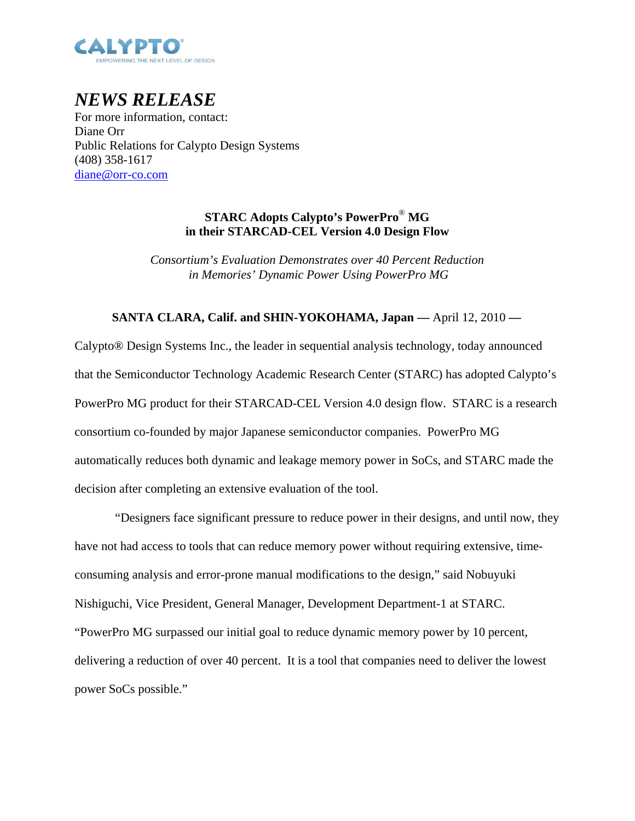

# *NEWS RELEASE*

For more information, contact: Diane Orr Public Relations for Calypto Design Systems (408) 358-1617 diane@orr-co.com

## **STARC Adopts Calypto's PowerPro**® **MG in their STARCAD-CEL Version 4.0 Design Flow**

*Consortium's Evaluation Demonstrates over 40 Percent Reduction in Memories' Dynamic Power Using PowerPro MG* 

### **SANTA CLARA, Calif. and SHIN-YOKOHAMA, Japan ––** April 12, 2010 **––**

Calypto® Design Systems Inc., the leader in sequential analysis technology, today announced that the Semiconductor Technology Academic Research Center (STARC) has adopted Calypto's PowerPro MG product for their STARCAD-CEL Version 4.0 design flow. STARC is a research consortium co-founded by major Japanese semiconductor companies. PowerPro MG automatically reduces both dynamic and leakage memory power in SoCs, and STARC made the decision after completing an extensive evaluation of the tool.

 "Designers face significant pressure to reduce power in their designs, and until now, they have not had access to tools that can reduce memory power without requiring extensive, timeconsuming analysis and error-prone manual modifications to the design," said Nobuyuki Nishiguchi, Vice President, General Manager, Development Department-1 at STARC. "PowerPro MG surpassed our initial goal to reduce dynamic memory power by 10 percent, delivering a reduction of over 40 percent. It is a tool that companies need to deliver the lowest power SoCs possible."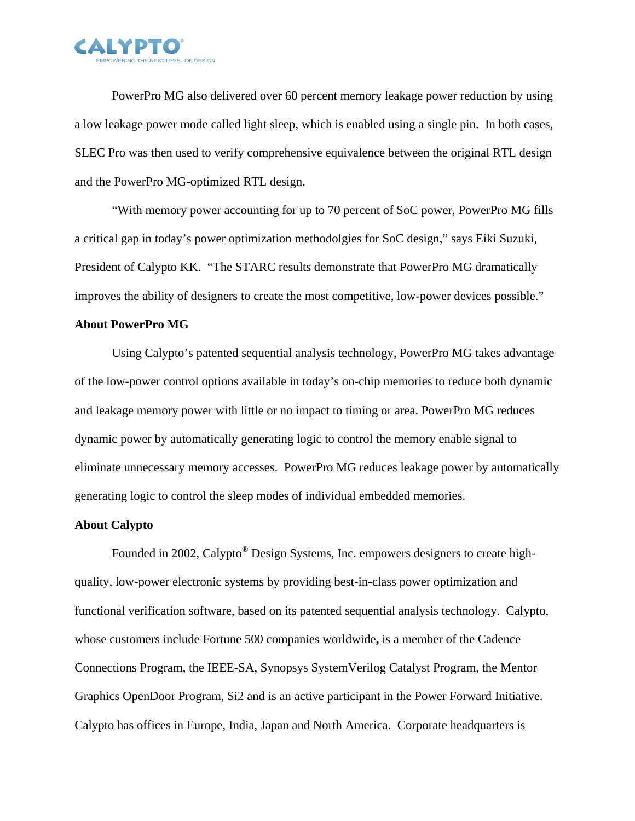

PowerPro MG also delivered over 60 percent memory leakage power reduction by using a low leakage power mode called light sleep, which is enabled using a single pin. In both cases, SLEC Pro was then used to verify comprehensive equivalence between the original RTL design and the PowerPro MG-optimized RTL design.

 "With memory power accounting for up to 70 percent of SoC power, PowerPro MG fills a critical gap in today's power optimization methodolgies for SoC design," says Eiki Suzuki, President of Calypto KK. "The STARC results demonstrate that PowerPro MG dramatically improves the ability of designers to create the most competitive, low-power devices possible."

#### **About PowerPro MG**

 Using Calypto's patented sequential analysis technology, PowerPro MG takes advantage of the low-power control options available in today's on-chip memories to reduce both dynamic and leakage memory power with little or no impact to timing or area. PowerPro MG reduces dynamic power by automatically generating logic to control the memory enable signal to eliminate unnecessary memory accesses. PowerPro MG reduces leakage power by automatically generating logic to control the sleep modes of individual embedded memories.

#### **About Calypto**

Founded in 2002, Calypto® Design Systems, Inc. empowers designers to create highquality, low-power electronic systems by providing best-in-class power optimization and functional verification software, based on its patented sequential analysis technology. Calypto, whose customers include Fortune 500 companies worldwide**,** is a member of the Cadence Connections Program, the IEEE-SA, Synopsys SystemVerilog Catalyst Program, the Mentor Graphics OpenDoor Program, Si2 and is an active participant in the Power Forward Initiative. Calypto has offices in Europe, India, Japan and North America. Corporate headquarters is